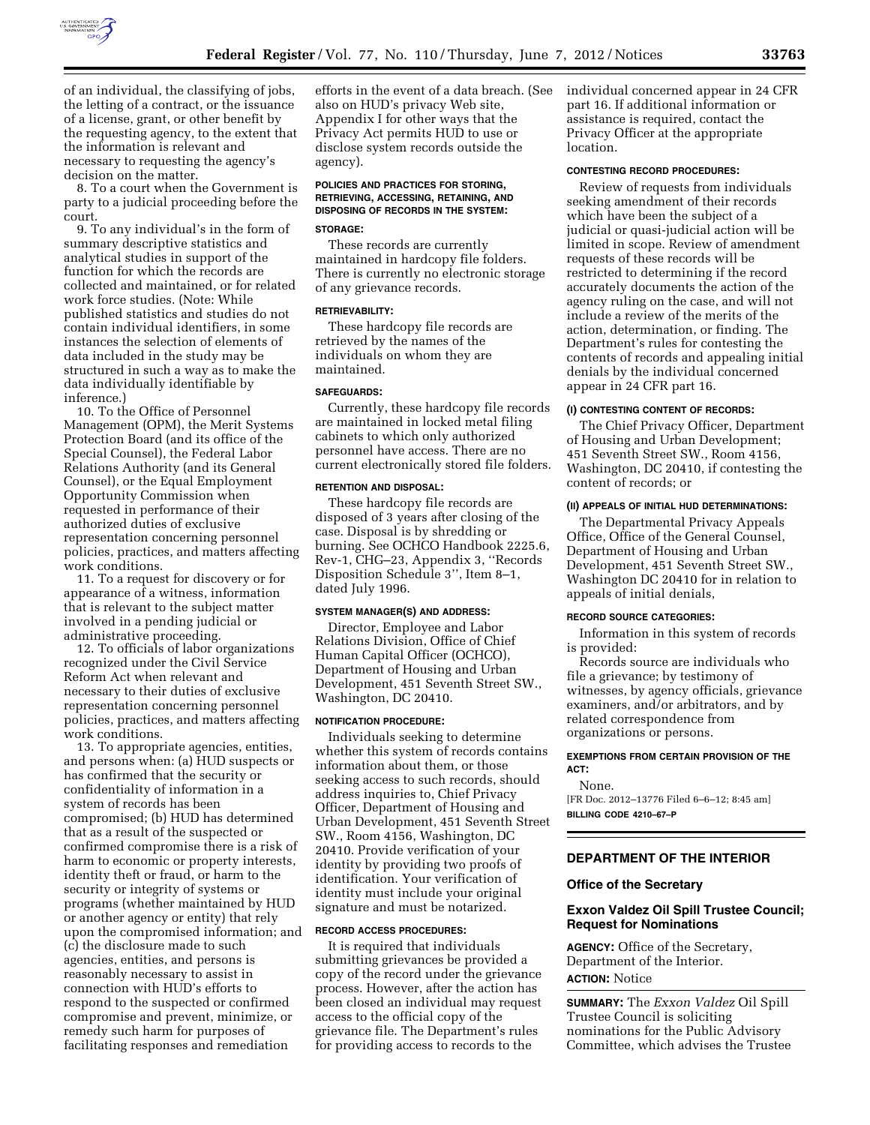

of an individual, the classifying of jobs, the letting of a contract, or the issuance of a license, grant, or other benefit by the requesting agency, to the extent that the information is relevant and necessary to requesting the agency's decision on the matter.

8. To a court when the Government is party to a judicial proceeding before the court.

9. To any individual's in the form of summary descriptive statistics and analytical studies in support of the function for which the records are collected and maintained, or for related work force studies. (Note: While published statistics and studies do not contain individual identifiers, in some instances the selection of elements of data included in the study may be structured in such a way as to make the data individually identifiable by inference.)

10. To the Office of Personnel Management (OPM), the Merit Systems Protection Board (and its office of the Special Counsel), the Federal Labor Relations Authority (and its General Counsel), or the Equal Employment Opportunity Commission when requested in performance of their authorized duties of exclusive representation concerning personnel policies, practices, and matters affecting work conditions.

11. To a request for discovery or for appearance of a witness, information that is relevant to the subject matter involved in a pending judicial or administrative proceeding.

12. To officials of labor organizations recognized under the Civil Service Reform Act when relevant and necessary to their duties of exclusive representation concerning personnel policies, practices, and matters affecting work conditions.

13. To appropriate agencies, entities, and persons when: (a) HUD suspects or has confirmed that the security or confidentiality of information in a system of records has been compromised; (b) HUD has determined that as a result of the suspected or confirmed compromise there is a risk of harm to economic or property interests, identity theft or fraud, or harm to the security or integrity of systems or programs (whether maintained by HUD or another agency or entity) that rely upon the compromised information; and (c) the disclosure made to such agencies, entities, and persons is reasonably necessary to assist in connection with HUD's efforts to respond to the suspected or confirmed compromise and prevent, minimize, or remedy such harm for purposes of facilitating responses and remediation

efforts in the event of a data breach. (See also on HUD's privacy Web site, Appendix I for other ways that the Privacy Act permits HUD to use or disclose system records outside the agency).

# **POLICIES AND PRACTICES FOR STORING, RETRIEVING, ACCESSING, RETAINING, AND DISPOSING OF RECORDS IN THE SYSTEM:**

### **STORAGE:**

These records are currently maintained in hardcopy file folders. There is currently no electronic storage of any grievance records.

### **RETRIEVABILITY:**

These hardcopy file records are retrieved by the names of the individuals on whom they are maintained.

#### **SAFEGUARDS:**

Currently, these hardcopy file records are maintained in locked metal filing cabinets to which only authorized personnel have access. There are no current electronically stored file folders.

#### **RETENTION AND DISPOSAL:**

These hardcopy file records are disposed of 3 years after closing of the case. Disposal is by shredding or burning. See OCHCO Handbook 2225.6, Rev-1, CHG–23, Appendix 3, ''Records Disposition Schedule 3'', Item 8–1, dated July 1996.

### **SYSTEM MANAGER(S) AND ADDRESS:**

Director, Employee and Labor Relations Division, Office of Chief Human Capital Officer (OCHCO), Department of Housing and Urban Development, 451 Seventh Street SW., Washington, DC 20410.

#### **NOTIFICATION PROCEDURE:**

Individuals seeking to determine whether this system of records contains information about them, or those seeking access to such records, should address inquiries to, Chief Privacy Officer, Department of Housing and Urban Development, 451 Seventh Street SW., Room 4156, Washington, DC 20410. Provide verification of your identity by providing two proofs of identification. Your verification of identity must include your original signature and must be notarized.

# **RECORD ACCESS PROCEDURES:**

It is required that individuals submitting grievances be provided a copy of the record under the grievance process. However, after the action has been closed an individual may request access to the official copy of the grievance file. The Department's rules for providing access to records to the

individual concerned appear in 24 CFR part 16. If additional information or assistance is required, contact the Privacy Officer at the appropriate location.

#### **CONTESTING RECORD PROCEDURES:**

Review of requests from individuals seeking amendment of their records which have been the subject of a judicial or quasi-judicial action will be limited in scope. Review of amendment requests of these records will be restricted to determining if the record accurately documents the action of the agency ruling on the case, and will not include a review of the merits of the action, determination, or finding. The Department's rules for contesting the contents of records and appealing initial denials by the individual concerned appear in 24 CFR part 16.

#### **(I) CONTESTING CONTENT OF RECORDS:**

The Chief Privacy Officer, Department of Housing and Urban Development; 451 Seventh Street SW., Room 4156, Washington, DC 20410, if contesting the content of records; or

### **(II) APPEALS OF INITIAL HUD DETERMINATIONS:**

The Departmental Privacy Appeals Office, Office of the General Counsel, Department of Housing and Urban Development, 451 Seventh Street SW., Washington DC 20410 for in relation to appeals of initial denials,

#### **RECORD SOURCE CATEGORIES:**

Information in this system of records is provided:

Records source are individuals who file a grievance; by testimony of witnesses, by agency officials, grievance examiners, and/or arbitrators, and by related correspondence from organizations or persons.

### **EXEMPTIONS FROM CERTAIN PROVISION OF THE ACT:**

None. [FR Doc. 2012–13776 Filed 6–6–12; 8:45 am] **BILLING CODE 4210–67–P** 

# **DEPARTMENT OF THE INTERIOR**

# **Office of the Secretary**

### **Exxon Valdez Oil Spill Trustee Council; Request for Nominations**

**AGENCY:** Office of the Secretary, Department of the Interior. **ACTION:** Notice

**SUMMARY:** The *Exxon Valdez* Oil Spill Trustee Council is soliciting nominations for the Public Advisory Committee, which advises the Trustee